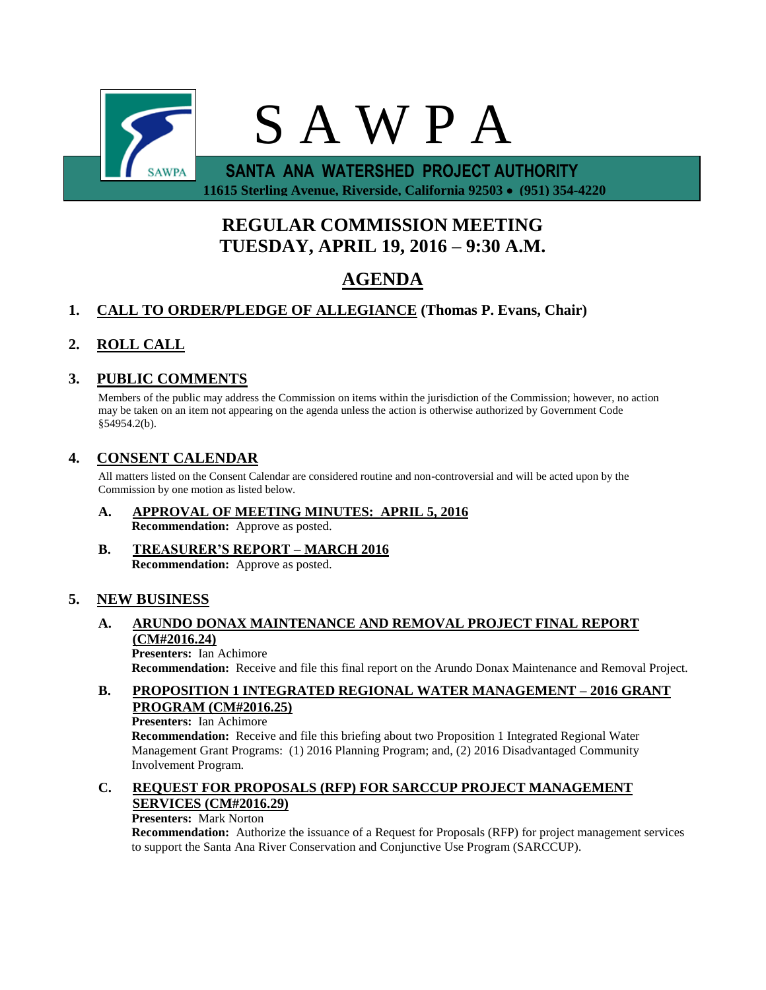

 **11615 Sterling Avenue, Riverside, California 92503 (951) 354-4220**

# **REGULAR COMMISSION MEETING TUESDAY, APRIL 19, 2016 – 9:30 A.M.**

# **AGENDA**

## **1. CALL TO ORDER/PLEDGE OF ALLEGIANCE (Thomas P. Evans, Chair)**

### **2. ROLL CALL**

### **3. PUBLIC COMMENTS**

Members of the public may address the Commission on items within the jurisdiction of the Commission; however, no action may be taken on an item not appearing on the agenda unless the action is otherwise authorized by Government Code §54954.2(b).

### **4. CONSENT CALENDAR**

All matters listed on the Consent Calendar are considered routine and non-controversial and will be acted upon by the Commission by one motion as listed below.

- **A. APPROVAL OF MEETING MINUTES: APRIL 5, 2016 Recommendation:** Approve as posted.
- **B. TREASURER'S REPORT – MARCH 2016 Recommendation:** Approve as posted.

### **5. NEW BUSINESS**

#### **A. ARUNDO DONAX MAINTENANCE AND REMOVAL PROJECT FINAL REPORT (CM#2016.24) Presenters:** Ian Achimore

**Recommendation:** Receive and file this final report on the Arundo Donax Maintenance and Removal Project.

### **B. PROPOSITION 1 INTEGRATED REGIONAL WATER MANAGEMENT – 2016 GRANT PROGRAM (CM#2016.25)**

#### **Presenters:** Ian Achimore

**Recommendation:** Receive and file this briefing about two Proposition 1 Integrated Regional Water Management Grant Programs: (1) 2016 Planning Program; and, (2) 2016 Disadvantaged Community Involvement Program.

### **C. REQUEST FOR PROPOSALS (RFP) FOR SARCCUP PROJECT MANAGEMENT SERVICES (CM#2016.29)**

#### **Presenters:** Mark Norton

**Recommendation:** Authorize the issuance of a Request for Proposals (RFP) for project management services to support the Santa Ana River Conservation and Conjunctive Use Program (SARCCUP).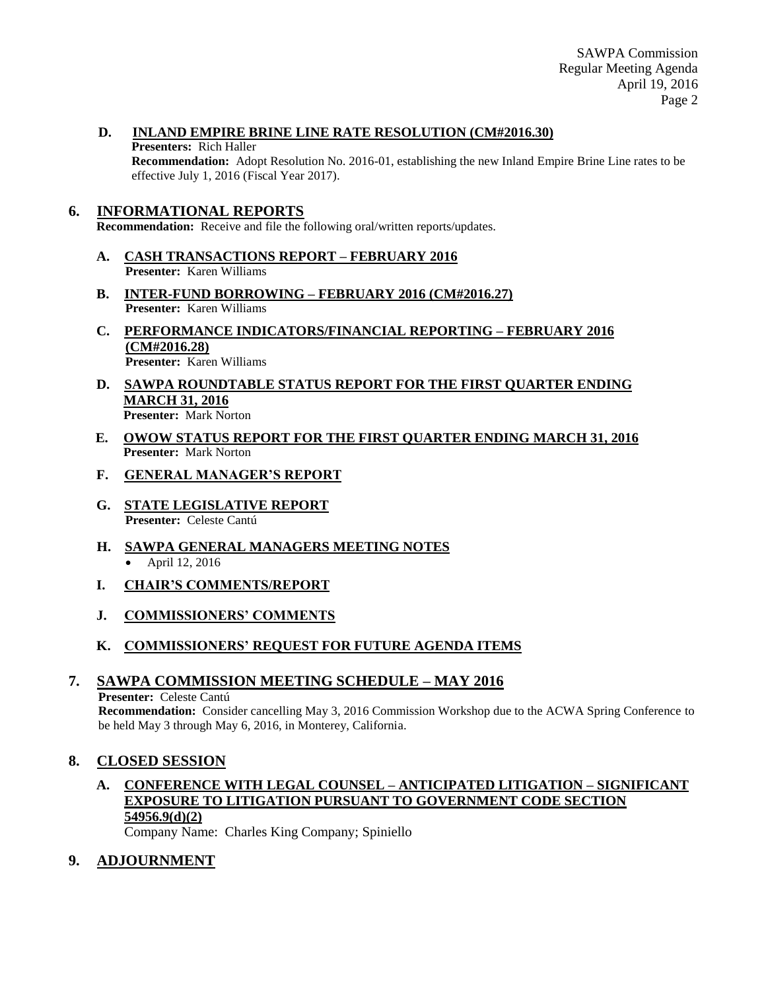SAWPA Commission Regular Meeting Agenda April 19, 2016 Page 2

### **D. INLAND EMPIRE BRINE LINE RATE RESOLUTION (CM#2016.30)**

#### **Presenters:** Rich Haller

**Recommendation:** Adopt Resolution No. 2016-01, establishing the new Inland Empire Brine Line rates to be effective July 1, 2016 (Fiscal Year 2017).

### **6. INFORMATIONAL REPORTS**

**Recommendation:** Receive and file the following oral/written reports/updates.

- **A. CASH TRANSACTIONS REPORT – FEBRUARY 2016 Presenter:** Karen Williams
- **B. INTER-FUND BORROWING – FEBRUARY 2016 (CM#2016.27) Presenter:** Karen Williams
- **C. PERFORMANCE INDICATORS/FINANCIAL REPORTING – FEBRUARY 2016 (CM#2016.28) Presenter:** Karen Williams
- **D. SAWPA ROUNDTABLE STATUS REPORT FOR THE FIRST QUARTER ENDING MARCH 31, 2016 Presenter:** Mark Norton
- **E. OWOW STATUS REPORT FOR THE FIRST QUARTER ENDING MARCH 31, 2016 Presenter:** Mark Norton
- **F. GENERAL MANAGER'S REPORT**
- **G. STATE LEGISLATIVE REPORT Presenter:** Celeste Cantú
- **H. SAWPA GENERAL MANAGERS MEETING NOTES** April 12, 2016
- **I. CHAIR'S COMMENTS/REPORT**
- **J. COMMISSIONERS' COMMENTS**

### **K. COMMISSIONERS' REQUEST FOR FUTURE AGENDA ITEMS**

### **7. SAWPA COMMISSION MEETING SCHEDULE – MAY 2016**

### **Presenter:** Celeste Cantú

**Recommendation:** Consider cancelling May 3, 2016 Commission Workshop due to the ACWA Spring Conference to be held May 3 through May 6, 2016, in Monterey, California.

### **8. CLOSED SESSION**

## **A. CONFERENCE WITH LEGAL COUNSEL – ANTICIPATED LITIGATION – SIGNIFICANT EXPOSURE TO LITIGATION PURSUANT TO GOVERNMENT CODE SECTION 54956.9(d)(2)**

Company Name: Charles King Company; Spiniello

### **9. ADJOURNMENT**